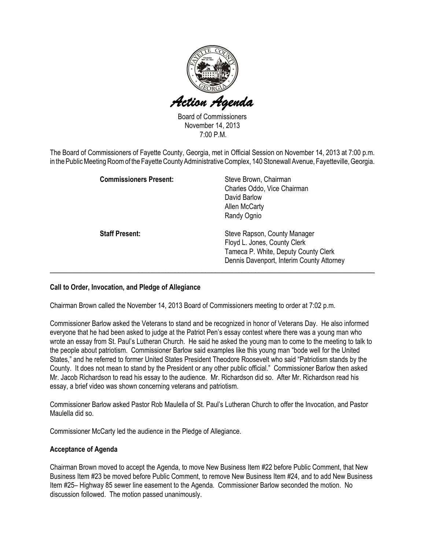

Board of Commissioners November 14, 2013 7:00 P.M.

The Board of Commissioners of Fayette County, Georgia, met in Official Session on November 14, 2013 at 7:00 p.m. in the Public Meeting Room of the Fayette County Administrative Complex, 140 Stonewall Avenue, Fayetteville, Georgia.

| <b>Commissioners Present:</b> | Steve Brown, Chairman<br>Charles Oddo, Vice Chairman<br>David Barlow<br><b>Allen McCarty</b><br>Randy Ognio                                       |
|-------------------------------|---------------------------------------------------------------------------------------------------------------------------------------------------|
| <b>Staff Present:</b>         | Steve Rapson, County Manager<br>Floyd L. Jones, County Clerk<br>Tameca P. White, Deputy County Clerk<br>Dennis Davenport, Interim County Attorney |

#### Call to Order, Invocation, and Pledge of Allegiance

Chairman Brown called the November 14, 2013 Board of Commissioners meeting to order at 7:02 p.m.

Commissioner Barlow asked the Veterans to stand and be recognized in honor of Veterans Day. He also informed everyone that he had been asked to judge at the Patriot Pen's essay contest where there was a young man who wrote an essay from St. Paul's Lutheran Church. He said he asked the young man to come to the meeting to talk to the people about patriotism. Commissioner Barlow said examples like this young man "bode well for the United States," and he referred to former United States President Theodore Roosevelt who said "Patriotism stands by the County. It does not mean to stand by the President or any other public official." Commissioner Barlow then asked Mr. Jacob Richardson to read his essay to the audience. Mr. Richardson did so. After Mr. Richardson read his essay, a brief video was shown concerning veterans and patriotism.

Commissioner Barlow asked Pastor Rob Maulella of St. Paul's Lutheran Church to offer the Invocation, and Pastor Maulella did so.

Commissioner McCarty led the audience in the Pledge of Allegiance.

#### Acceptance of Agenda

Chairman Brown moved to accept the Agenda, to move New Business Item #22 before Public Comment, that New Business Item #23 be moved before Public Comment, to remove New Business Item #24, and to add New Business Item #25– Highway 85 sewer line easement to the Agenda. Commissioner Barlow seconded the motion. No discussion followed. The motion passed unanimously.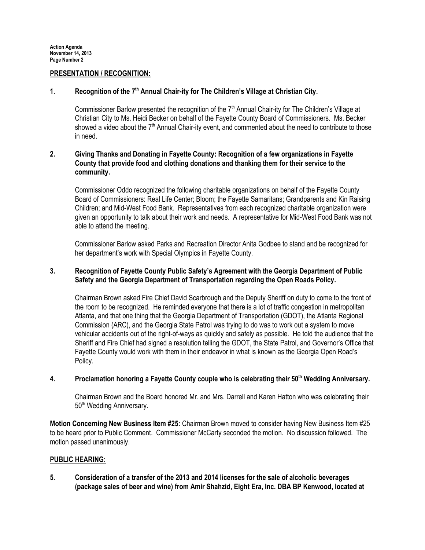#### PRESENTATION / RECOGNITION:

#### 1. Recognition of the 7<sup>th</sup> Annual Chair-ity for The Children's Village at Christian City.

Commissioner Barlow presented the recognition of the  $7<sup>th</sup>$  Annual Chair-ity for The Children's Village at Christian City to Ms. Heidi Becker on behalf of the Fayette County Board of Commissioners. Ms. Becker showed a video about the  $7<sup>th</sup>$  Annual Chair-ity event, and commented about the need to contribute to those in need.

# 2. Giving Thanks and Donating in Fayette County: Recognition of a few organizations in Fayette County that provide food and clothing donations and thanking them for their service to the community.

Commissioner Oddo recognized the following charitable organizations on behalf of the Fayette County Board of Commissioners: Real Life Center; Bloom; the Fayette Samaritans; Grandparents and Kin Raising Children; and Mid-West Food Bank. Representatives from each recognized charitable organization were given an opportunity to talk about their work and needs. A representative for Mid-West Food Bank was not able to attend the meeting.

Commissioner Barlow asked Parks and Recreation Director Anita Godbee to stand and be recognized for her department's work with Special Olympics in Fayette County.

#### 3. Recognition of Fayette County Public Safety's Agreement with the Georgia Department of Public Safety and the Georgia Department of Transportation regarding the Open Roads Policy.

Chairman Brown asked Fire Chief David Scarbrough and the Deputy Sheriff on duty to come to the front of the room to be recognized. He reminded everyone that there is a lot of traffic congestion in metropolitan Atlanta, and that one thing that the Georgia Department of Transportation (GDOT), the Atlanta Regional Commission (ARC), and the Georgia State Patrol was trying to do was to work out a system to move vehicular accidents out of the right-of-ways as quickly and safely as possible. He told the audience that the Sheriff and Fire Chief had signed a resolution telling the GDOT, the State Patrol, and Governor's Office that Fayette County would work with them in their endeavor in what is known as the Georgia Open Road's Policy.

#### 4. Proclamation honoring a Fayette County couple who is celebrating their 50<sup>th</sup> Wedding Anniversary.

Chairman Brown and the Board honored Mr. and Mrs. Darrell and Karen Hatton who was celebrating their 50<sup>th</sup> Wedding Anniversary.

Motion Concerning New Business Item #25: Chairman Brown moved to consider having New Business Item #25 to be heard prior to Public Comment. Commissioner McCarty seconded the motion. No discussion followed. The motion passed unanimously.

#### PUBLIC HEARING:

5. Consideration of a transfer of the 2013 and 2014 licenses for the sale of alcoholic beverages (package sales of beer and wine) from Amir Shahzid, Eight Era, Inc. DBA BP Kenwood, located at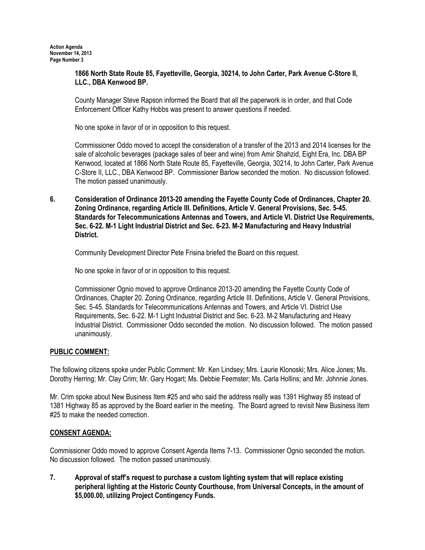#### 1866 North State Route 85, Fayetteville, Georgia, 30214, to John Carter, Park Avenue C-Store II, LLC., DBA Kenwood BP.

County Manager Steve Rapson informed the Board that all the paperwork is in order, and that Code Enforcement Officer Kathy Hobbs was present to answer questions if needed.

No one spoke in favor of or in opposition to this request.

Commissioner Oddo moved to accept the consideration of a transfer of the 2013 and 2014 licenses for the sale of alcoholic beverages (package sales of beer and wine) from Amir Shahzid, Eight Era, Inc. DBA BP Kenwood, located at 1866 North State Route 85, Fayetteville, Georgia, 30214, to John Carter, Park Avenue C-Store II, LLC., DBA Kenwood BP. Commissioner Barlow seconded the motion. No discussion followed. The motion passed unanimously.

6. Consideration of Ordinance 2013-20 amending the Fayette County Code of Ordinances, Chapter 20. Zoning Ordinance, regarding Article III. Definitions, Article V. General Provisions, Sec. 5-45. Standards for Telecommunications Antennas and Towers, and Article VI. District Use Requirements, Sec. 6-22. M-1 Light Industrial District and Sec. 6-23. M-2 Manufacturing and Heavy Industrial District.

Community Development Director Pete Frisina briefed the Board on this request.

No one spoke in favor of or in opposition to this request.

Commissioner Ognio moved to approve Ordinance 2013-20 amending the Fayette County Code of Ordinances, Chapter 20. Zoning Ordinance, regarding Article III. Definitions, Article V. General Provisions, Sec. 5-45. Standards for Telecommunications Antennas and Towers, and Article VI. District Use Requirements, Sec. 6-22. M-1 Light Industrial District and Sec. 6-23. M-2 Manufacturing and Heavy Industrial District. Commissioner Oddo seconded the motion. No discussion followed. The motion passed unanimously.

#### PUBLIC COMMENT:

The following citizens spoke under Public Comment: Mr. Ken Lindsey; Mrs. Laurie Klonoski; Mrs. Alice Jones; Ms. Dorothy Herring; Mr. Clay Crim; Mr. Gary Hogart; Ms. Debbie Feemster; Ms. Carla Hollins; and Mr. Johnnie Jones.

Mr. Crim spoke about New Business Item #25 and who said the address really was 1391 Highway 85 instead of 1381 Highway 85 as approved by the Board earlier in the meeting. The Board agreed to revisit New Business Item #25 to make the needed correction.

#### CONSENT AGENDA:

Commissioner Oddo moved to approve Consent Agenda Items 7-13. Commissioner Ognio seconded the motion. No discussion followed. The motion passed unanimously.

7. Approval of staff's request to purchase a custom lighting system that will replace existing peripheral lighting at the Historic County Courthouse, from Universal Concepts, in the amount of \$5,000.00, utilizing Project Contingency Funds.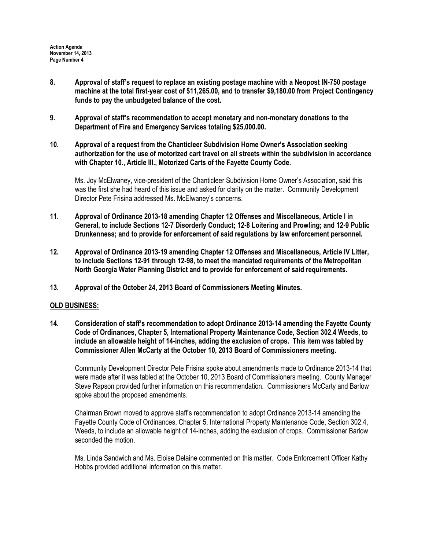- 8. Approval of staff's request to replace an existing postage machine with a Neopost IN-750 postage machine at the total first-year cost of \$11,265.00, and to transfer \$9,180.00 from Project Contingency funds to pay the unbudgeted balance of the cost.
- 9. Approval of staff's recommendation to accept monetary and non-monetary donations to the Department of Fire and Emergency Services totaling \$25,000.00.
- 10. Approval of a request from the Chanticleer Subdivision Home Owner's Association seeking authorization for the use of motorized cart travel on all streets within the subdivision in accordance with Chapter 10., Article III., Motorized Carts of the Fayette County Code.

Ms. Joy McElwaney, vice-president of the Chanticleer Subdivision Home Owner's Association, said this was the first she had heard of this issue and asked for clarity on the matter. Community Development Director Pete Frisina addressed Ms. McElwaney's concerns.

- 11. Approval of Ordinance 2013-18 amending Chapter 12 Offenses and Miscellaneous, Article I in General, to include Sections 12-7 Disorderly Conduct; 12-8 Loitering and Prowling; and 12-9 Public Drunkenness; and to provide for enforcement of said regulations by law enforcement personnel.
- 12. Approval of Ordinance 2013-19 amending Chapter 12 Offenses and Miscellaneous, Article IV Litter, to include Sections 12-91 through 12-98, to meet the mandated requirements of the Metropolitan North Georgia Water Planning District and to provide for enforcement of said requirements.
- 13. Approval of the October 24, 2013 Board of Commissioners Meeting Minutes.

#### OLD BUSINESS:

14. Consideration of staff's recommendation to adopt Ordinance 2013-14 amending the Fayette County Code of Ordinances, Chapter 5, International Property Maintenance Code, Section 302.4 Weeds, to include an allowable height of 14-inches, adding the exclusion of crops. This item was tabled by Commissioner Allen McCarty at the October 10, 2013 Board of Commissioners meeting.

Community Development Director Pete Frisina spoke about amendments made to Ordinance 2013-14 that were made after it was tabled at the October 10, 2013 Board of Commissioners meeting. County Manager Steve Rapson provided further information on this recommendation. Commissioners McCarty and Barlow spoke about the proposed amendments.

Chairman Brown moved to approve staff's recommendation to adopt Ordinance 2013-14 amending the Fayette County Code of Ordinances, Chapter 5, International Property Maintenance Code, Section 302.4, Weeds, to include an allowable height of 14-inches, adding the exclusion of crops. Commissioner Barlow seconded the motion.

Ms. Linda Sandwich and Ms. Eloise Delaine commented on this matter. Code Enforcement Officer Kathy Hobbs provided additional information on this matter.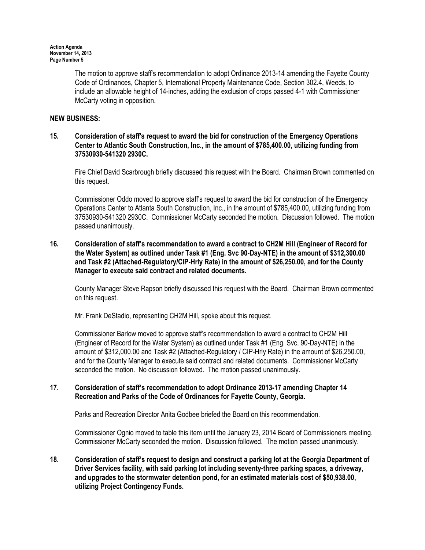The motion to approve staff's recommendation to adopt Ordinance 2013-14 amending the Fayette County Code of Ordinances, Chapter 5, International Property Maintenance Code, Section 302.4, Weeds, to include an allowable height of 14-inches, adding the exclusion of crops passed 4-1 with Commissioner McCarty voting in opposition.

# NEW BUSINESS:

#### 15. Consideration of staff's request to award the bid for construction of the Emergency Operations Center to Atlantic South Construction, Inc., in the amount of \$785,400.00, utilizing funding from 37530930-541320 2930C.

Fire Chief David Scarbrough briefly discussed this request with the Board. Chairman Brown commented on this request.

Commissioner Oddo moved to approve staff's request to award the bid for construction of the Emergency Operations Center to Atlanta South Construction, Inc., in the amount of \$785,400.00, utilizing funding from 37530930-541320 2930C. Commissioner McCarty seconded the motion. Discussion followed. The motion passed unanimously.

## 16. Consideration of staff's recommendation to award a contract to CH2M Hill (Engineer of Record for the Water System) as outlined under Task #1 (Eng. Svc 90-Day-NTE) in the amount of \$312,300.00 and Task #2 (Attached-Regulatory/CIP-Hrly Rate) in the amount of \$26,250.00, and for the County Manager to execute said contract and related documents.

County Manager Steve Rapson briefly discussed this request with the Board. Chairman Brown commented on this request.

Mr. Frank DeStadio, representing CH2M Hill, spoke about this request.

Commissioner Barlow moved to approve staff's recommendation to award a contract to CH2M Hill (Engineer of Record for the Water System) as outlined under Task #1 (Eng. Svc. 90-Day-NTE) in the amount of \$312,000.00 and Task #2 (Attached-Regulatory / CIP-Hrly Rate) in the amount of \$26,250.00, and for the County Manager to execute said contract and related documents. Commissioner McCarty seconded the motion. No discussion followed. The motion passed unanimously.

## 17. Consideration of staff's recommendation to adopt Ordinance 2013-17 amending Chapter 14 Recreation and Parks of the Code of Ordinances for Fayette County, Georgia.

Parks and Recreation Director Anita Godbee briefed the Board on this recommendation.

Commissioner Ognio moved to table this item until the January 23, 2014 Board of Commissioners meeting. Commissioner McCarty seconded the motion. Discussion followed. The motion passed unanimously.

18. Consideration of staff's request to design and construct a parking lot at the Georgia Department of Driver Services facility, with said parking lot including seventy-three parking spaces, a driveway, and upgrades to the stormwater detention pond, for an estimated materials cost of \$50,938.00, utilizing Project Contingency Funds.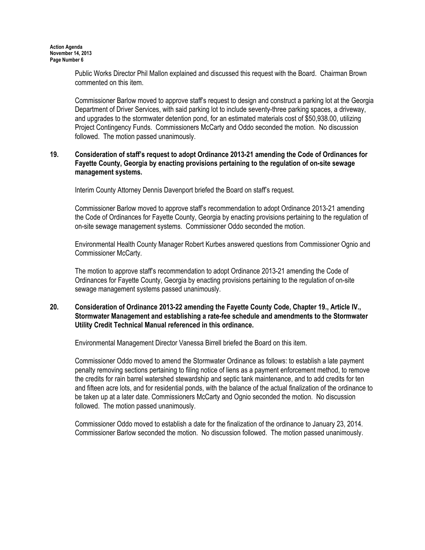Public Works Director Phil Mallon explained and discussed this request with the Board. Chairman Brown commented on this item.

Commissioner Barlow moved to approve staff's request to design and construct a parking lot at the Georgia Department of Driver Services, with said parking lot to include seventy-three parking spaces, a driveway, and upgrades to the stormwater detention pond, for an estimated materials cost of \$50,938.00, utilizing Project Contingency Funds. Commissioners McCarty and Oddo seconded the motion. No discussion followed. The motion passed unanimously.

## 19. Consideration of staff's request to adopt Ordinance 2013-21 amending the Code of Ordinances for Fayette County, Georgia by enacting provisions pertaining to the regulation of on-site sewage management systems.

Interim County Attorney Dennis Davenport briefed the Board on staff's request.

Commissioner Barlow moved to approve staff's recommendation to adopt Ordinance 2013-21 amending the Code of Ordinances for Fayette County, Georgia by enacting provisions pertaining to the regulation of on-site sewage management systems. Commissioner Oddo seconded the motion.

Environmental Health County Manager Robert Kurbes answered questions from Commissioner Ognio and Commissioner McCarty.

The motion to approve staff's recommendation to adopt Ordinance 2013-21 amending the Code of Ordinances for Fayette County, Georgia by enacting provisions pertaining to the regulation of on-site sewage management systems passed unanimously.

## 20. Consideration of Ordinance 2013-22 amending the Fayette County Code, Chapter 19., Article IV., Stormwater Management and establishing a rate-fee schedule and amendments to the Stormwater Utility Credit Technical Manual referenced in this ordinance.

Environmental Management Director Vanessa Birrell briefed the Board on this item.

Commissioner Oddo moved to amend the Stormwater Ordinance as follows: to establish a late payment penalty removing sections pertaining to filing notice of liens as a payment enforcement method, to remove the credits for rain barrel watershed stewardship and septic tank maintenance, and to add credits for ten and fifteen acre lots, and for residential ponds, with the balance of the actual finalization of the ordinance to be taken up at a later date. Commissioners McCarty and Ognio seconded the motion. No discussion followed. The motion passed unanimously.

Commissioner Oddo moved to establish a date for the finalization of the ordinance to January 23, 2014. Commissioner Barlow seconded the motion. No discussion followed. The motion passed unanimously.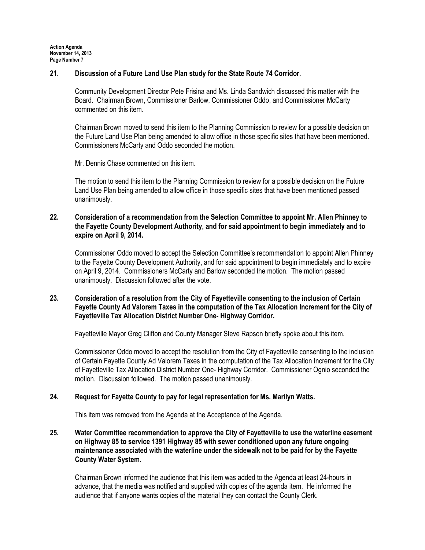## 21. Discussion of a Future Land Use Plan study for the State Route 74 Corridor.

Community Development Director Pete Frisina and Ms. Linda Sandwich discussed this matter with the Board. Chairman Brown, Commissioner Barlow, Commissioner Oddo, and Commissioner McCarty commented on this item.

Chairman Brown moved to send this item to the Planning Commission to review for a possible decision on the Future Land Use Plan being amended to allow office in those specific sites that have been mentioned. Commissioners McCarty and Oddo seconded the motion.

Mr. Dennis Chase commented on this item.

The motion to send this item to the Planning Commission to review for a possible decision on the Future Land Use Plan being amended to allow office in those specific sites that have been mentioned passed unanimously.

#### 22. Consideration of a recommendation from the Selection Committee to appoint Mr. Allen Phinney to the Fayette County Development Authority, and for said appointment to begin immediately and to expire on April 9, 2014.

Commissioner Oddo moved to accept the Selection Committee's recommendation to appoint Allen Phinney to the Fayette County Development Authority, and for said appointment to begin immediately and to expire on April 9, 2014. Commissioners McCarty and Barlow seconded the motion. The motion passed unanimously. Discussion followed after the vote.

# 23. Consideration of a resolution from the City of Fayetteville consenting to the inclusion of Certain Fayette County Ad Valorem Taxes in the computation of the Tax Allocation Increment for the City of Fayetteville Tax Allocation District Number One- Highway Corridor.

Fayetteville Mayor Greg Clifton and County Manager Steve Rapson briefly spoke about this item.

Commissioner Oddo moved to accept the resolution from the City of Fayetteville consenting to the inclusion of Certain Fayette County Ad Valorem Taxes in the computation of the Tax Allocation Increment for the City of Fayetteville Tax Allocation District Number One- Highway Corridor. Commissioner Ognio seconded the motion. Discussion followed. The motion passed unanimously.

# 24. Request for Fayette County to pay for legal representation for Ms. Marilyn Watts.

This item was removed from the Agenda at the Acceptance of the Agenda.

## 25. Water Committee recommendation to approve the City of Fayetteville to use the waterline easement on Highway 85 to service 1391 Highway 85 with sewer conditioned upon any future ongoing maintenance associated with the waterline under the sidewalk not to be paid for by the Fayette County Water System.

Chairman Brown informed the audience that this item was added to the Agenda at least 24-hours in advance, that the media was notified and supplied with copies of the agenda item. He informed the audience that if anyone wants copies of the material they can contact the County Clerk.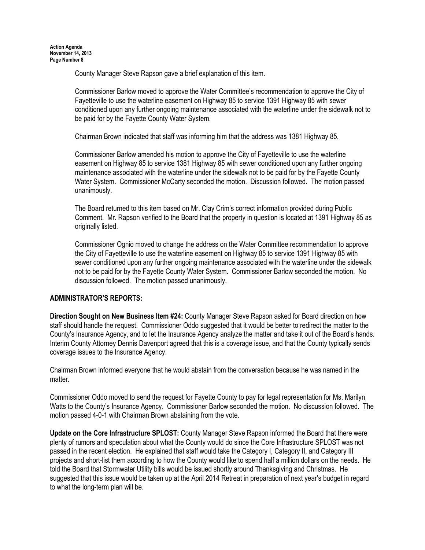County Manager Steve Rapson gave a brief explanation of this item.

Commissioner Barlow moved to approve the Water Committee's recommendation to approve the City of Fayetteville to use the waterline easement on Highway 85 to service 1391 Highway 85 with sewer conditioned upon any further ongoing maintenance associated with the waterline under the sidewalk not to be paid for by the Fayette County Water System.

Chairman Brown indicated that staff was informing him that the address was 1381 Highway 85.

Commissioner Barlow amended his motion to approve the City of Fayetteville to use the waterline easement on Highway 85 to service 1381 Highway 85 with sewer conditioned upon any further ongoing maintenance associated with the waterline under the sidewalk not to be paid for by the Fayette County Water System. Commissioner McCarty seconded the motion. Discussion followed. The motion passed unanimously.

The Board returned to this item based on Mr. Clay Crim's correct information provided during Public Comment. Mr. Rapson verified to the Board that the property in question is located at 1391 Highway 85 as originally listed.

Commissioner Ognio moved to change the address on the Water Committee recommendation to approve the City of Fayetteville to use the waterline easement on Highway 85 to service 1391 Highway 85 with sewer conditioned upon any further ongoing maintenance associated with the waterline under the sidewalk not to be paid for by the Fayette County Water System. Commissioner Barlow seconded the motion. No discussion followed. The motion passed unanimously.

#### ADMINISTRATOR'S REPORTS:

Direction Sought on New Business Item #24: County Manager Steve Rapson asked for Board direction on how staff should handle the request. Commissioner Oddo suggested that it would be better to redirect the matter to the County's Insurance Agency, and to let the Insurance Agency analyze the matter and take it out of the Board's hands. Interim County Attorney Dennis Davenport agreed that this is a coverage issue, and that the County typically sends coverage issues to the Insurance Agency.

Chairman Brown informed everyone that he would abstain from the conversation because he was named in the matter.

Commissioner Oddo moved to send the request for Fayette County to pay for legal representation for Ms. Marilyn Watts to the County's Insurance Agency. Commissioner Barlow seconded the motion. No discussion followed. The motion passed 4-0-1 with Chairman Brown abstaining from the vote.

Update on the Core Infrastructure SPLOST: County Manager Steve Rapson informed the Board that there were plenty of rumors and speculation about what the County would do since the Core Infrastructure SPLOST was not passed in the recent election. He explained that staff would take the Category I, Category II, and Category III projects and short-list them according to how the County would like to spend half a million dollars on the needs. He told the Board that Stormwater Utility bills would be issued shortly around Thanksgiving and Christmas. He suggested that this issue would be taken up at the April 2014 Retreat in preparation of next year's budget in regard to what the long-term plan will be.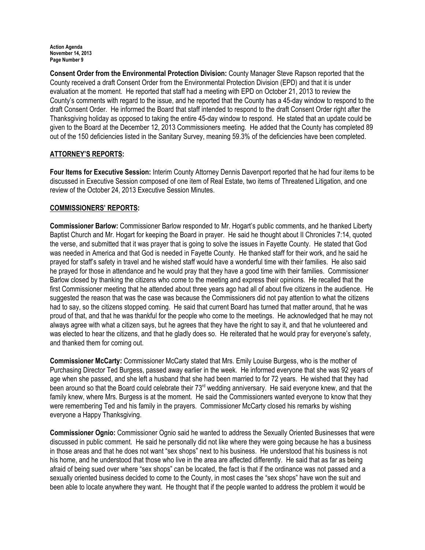#### Action Agenda November 14, 2013 Page Number 9

Consent Order from the Environmental Protection Division: County Manager Steve Rapson reported that the County received a draft Consent Order from the Environmental Protection Division (EPD) and that it is under evaluation at the moment. He reported that staff had a meeting with EPD on October 21, 2013 to review the County's comments with regard to the issue, and he reported that the County has a 45-day window to respond to the draft Consent Order. He informed the Board that staff intended to respond to the draft Consent Order right after the Thanksgiving holiday as opposed to taking the entire 45-day window to respond. He stated that an update could be given to the Board at the December 12, 2013 Commissioners meeting. He added that the County has completed 89 out of the 150 deficiencies listed in the Sanitary Survey, meaning 59.3% of the deficiencies have been completed.

# ATTORNEY'S REPORTS:

Four Items for Executive Session: Interim County Attorney Dennis Davenport reported that he had four items to be discussed in Executive Session composed of one item of Real Estate, two items of Threatened Litigation, and one review of the October 24, 2013 Executive Session Minutes.

# COMMISSIONERS' REPORTS:

Commissioner Barlow: Commissioner Barlow responded to Mr. Hogart's public comments, and he thanked Liberty Baptist Church and Mr. Hogart for keeping the Board in prayer. He said he thought about II Chronicles 7:14, quoted the verse, and submitted that it was prayer that is going to solve the issues in Fayette County. He stated that God was needed in America and that God is needed in Fayette County. He thanked staff for their work, and he said he prayed for staff's safety in travel and he wished staff would have a wonderful time with their families. He also said he prayed for those in attendance and he would pray that they have a good time with their families. Commissioner Barlow closed by thanking the citizens who come to the meeting and express their opinions. He recalled that the first Commissioner meeting that he attended about three years ago had all of about five citizens in the audience. He suggested the reason that was the case was because the Commissioners did not pay attention to what the citizens had to say, so the citizens stopped coming. He said that current Board has turned that matter around, that he was proud of that, and that he was thankful for the people who come to the meetings. He acknowledged that he may not always agree with what a citizen says, but he agrees that they have the right to say it, and that he volunteered and was elected to hear the citizens, and that he gladly does so. He reiterated that he would pray for everyone's safety, and thanked them for coming out.

Commissioner McCarty: Commissioner McCarty stated that Mrs. Emily Louise Burgess, who is the mother of Purchasing Director Ted Burgess, passed away earlier in the week. He informed everyone that she was 92 years of age when she passed, and she left a husband that she had been married to for 72 years. He wished that they had been around so that the Board could celebrate their 73<sup>rd</sup> wedding anniversary. He said everyone knew, and that the family knew, where Mrs. Burgess is at the moment. He said the Commissioners wanted everyone to know that they were remembering Ted and his family in the prayers. Commissioner McCarty closed his remarks by wishing everyone a Happy Thanksgiving.

Commissioner Ognio: Commissioner Ognio said he wanted to address the Sexually Oriented Businesses that were discussed in public comment. He said he personally did not like where they were going because he has a business in those areas and that he does not want "sex shops" next to his business. He understood that his business is not his home, and he understood that those who live in the area are affected differently. He said that as far as being afraid of being sued over where "sex shops" can be located, the fact is that if the ordinance was not passed and a sexually oriented business decided to come to the County, in most cases the "sex shops" have won the suit and been able to locate anywhere they want. He thought that if the people wanted to address the problem it would be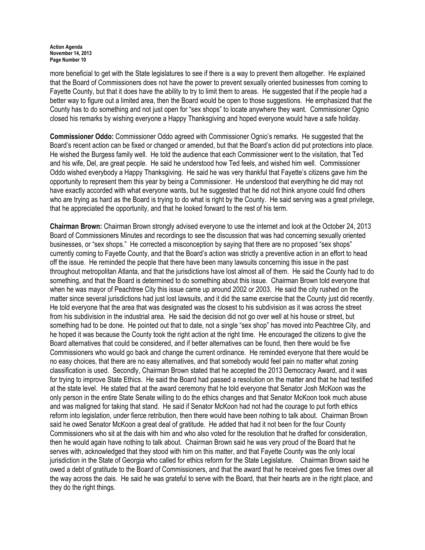#### Action Agenda November 14, 2013 Page Number 10

more beneficial to get with the State legislatures to see if there is a way to prevent them altogether. He explained that the Board of Commissioners does not have the power to prevent sexually oriented businesses from coming to Fayette County, but that it does have the ability to try to limit them to areas. He suggested that if the people had a better way to figure out a limited area, then the Board would be open to those suggestions. He emphasized that the County has to do something and not just open for "sex shops" to locate anywhere they want. Commissioner Ognio closed his remarks by wishing everyone a Happy Thanksgiving and hoped everyone would have a safe holiday.

Commissioner Oddo: Commissioner Oddo agreed with Commissioner Ognio's remarks. He suggested that the Board's recent action can be fixed or changed or amended, but that the Board's action did put protections into place. He wished the Burgess family well. He told the audience that each Commissioner went to the visitation, that Ted and his wife, Del, are great people. He said he understood how Ted feels, and wished him well. Commissioner Oddo wished everybody a Happy Thanksgiving. He said he was very thankful that Fayette's citizens gave him the opportunity to represent them this year by being a Commissioner. He understood that everything he did may not have exactly accorded with what everyone wants, but he suggested that he did not think anyone could find others who are trying as hard as the Board is trying to do what is right by the County. He said serving was a great privilege, that he appreciated the opportunity, and that he looked forward to the rest of his term.

Chairman Brown: Chairman Brown strongly advised everyone to use the internet and look at the October 24, 2013 Board of Commissioners Minutes and recordings to see the discussion that was had concerning sexually oriented businesses, or "sex shops." He corrected a misconception by saying that there are no proposed "sex shops" currently coming to Fayette County, and that the Board's action was strictly a preventive action in an effort to head off the issue. He reminded the people that there have been many lawsuits concerning this issue in the past throughout metropolitan Atlanta, and that the jurisdictions have lost almost all of them. He said the County had to do something, and that the Board is determined to do something about this issue. Chairman Brown told everyone that when he was mayor of Peachtree City this issue came up around 2002 or 2003. He said the city rushed on the matter since several jurisdictions had just lost lawsuits, and it did the same exercise that the County just did recently. He told everyone that the area that was designated was the closest to his subdivision as it was across the street from his subdivision in the industrial area. He said the decision did not go over well at his house or street, but something had to be done. He pointed out that to date, not a single "sex shop" has moved into Peachtree City, and he hoped it was because the County took the right action at the right time. He encouraged the citizens to give the Board alternatives that could be considered, and if better alternatives can be found, then there would be five Commissioners who would go back and change the current ordinance. He reminded everyone that there would be no easy choices, that there are no easy alternatives, and that somebody would feel pain no matter what zoning classification is used. Secondly, Chairman Brown stated that he accepted the 2013 Democracy Award, and it was for trying to improve State Ethics. He said the Board had passed a resolution on the matter and that he had testified at the state level. He stated that at the award ceremony that he told everyone that Senator Josh McKoon was the only person in the entire State Senate willing to do the ethics changes and that Senator McKoon took much abuse and was maligned for taking that stand. He said if Senator McKoon had not had the courage to put forth ethics reform into legislation, under fierce retribution, then there would have been nothing to talk about. Chairman Brown said he owed Senator McKoon a great deal of gratitude. He added that had it not been for the four County Commissioners who sit at the dais with him and who also voted for the resolution that he drafted for consideration, then he would again have nothing to talk about. Chairman Brown said he was very proud of the Board that he serves with, acknowledged that they stood with him on this matter, and that Fayette County was the only local jurisdiction in the State of Georgia who called for ethics reform for the State Legislature. Chairman Brown said he owed a debt of gratitude to the Board of Commissioners, and that the award that he received goes five times over all the way across the dais. He said he was grateful to serve with the Board, that their hearts are in the right place, and they do the right things.